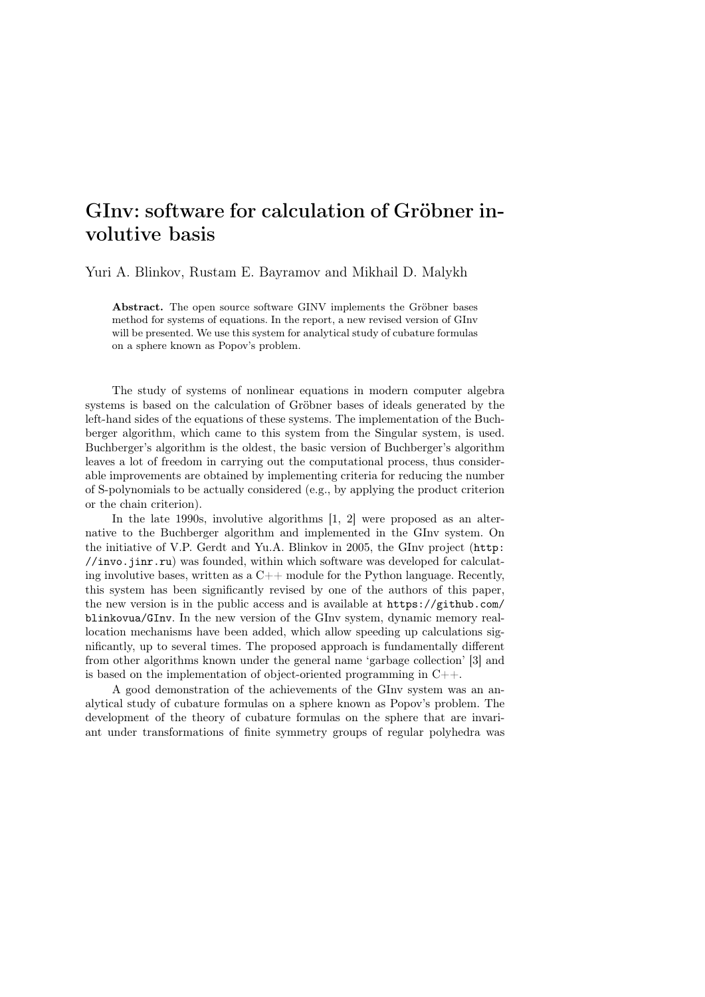## GInv: software for calculation of Gröbner involutive basis

Yuri A. Blinkov, Rustam E. Bayramov and Mikhail D. Malykh

Abstract. The open source software GINV implements the Gröbner bases method for systems of equations. In the report, a new revised version of GInv will be presented. We use this system for analytical study of cubature formulas on a sphere known as Popov's problem.

The study of systems of nonlinear equations in modern computer algebra systems is based on the calculation of Gröbner bases of ideals generated by the left-hand sides of the equations of these systems. The implementation of the Buchberger algorithm, which came to this system from the Singular system, is used. Buchberger's algorithm is the oldest, the basic version of Buchberger's algorithm leaves a lot of freedom in carrying out the computational process, thus considerable improvements are obtained by implementing criteria for reducing the number of S-polynomials to be actually considered (e.g., by applying the product criterion or the chain criterion).

In the late 1990s, involutive algorithms  $[1, 2]$  were proposed as an alternative to the Buchberger algorithm and implemented in the GInv system. On the initiative of V.P. Gerdt and Yu.A. Blinkov in 2005, the GInv project (http: //invo.jinr.ru) was founded, within which software was developed for calculating involutive bases, written as a  $C_{++}$  module for the Python language. Recently, this system has been significantly revised by one of the authors of this paper, the new version is in the public access and is available at https://github.com/ blinkovua/GInv. In the new version of the GInv system, dynamic memory reallocation mechanisms have been added, which allow speeding up calculations significantly, up to several times. The proposed approach is fundamentally different from other algorithms known under the general name 'garbage collection' [3] and is based on the implementation of object-oriented programming in  $C_{++}$ .

A good demonstration of the achievements of the GInv system was an analytical study of cubature formulas on a sphere known as Popov's problem. The development of the theory of cubature formulas on the sphere that are invariant under transformations of finite symmetry groups of regular polyhedra was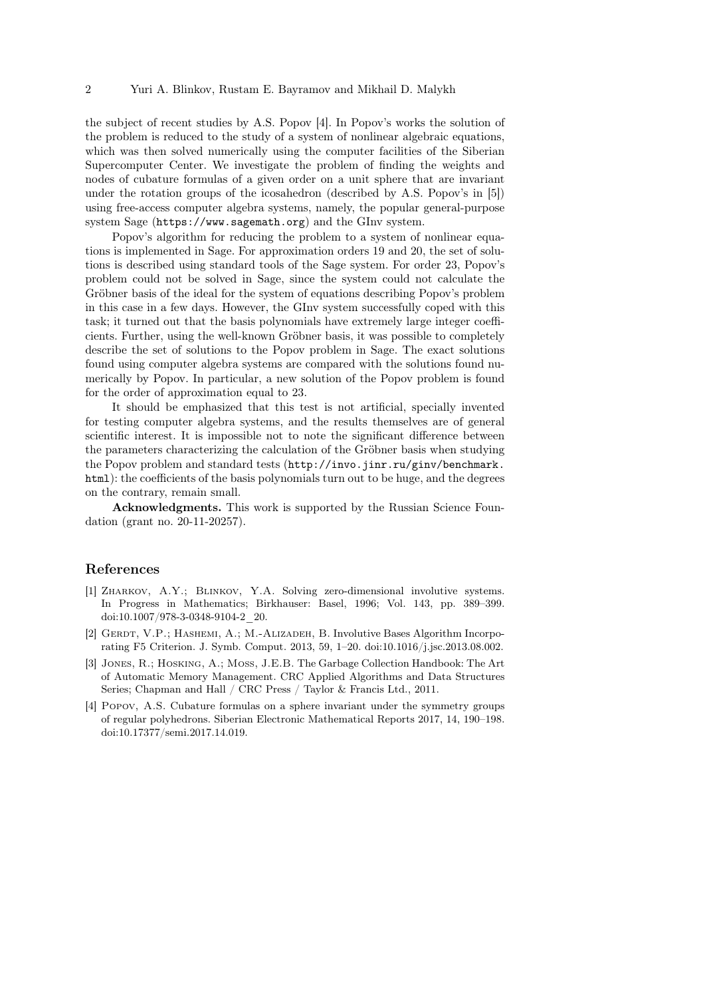the subject of recent studies by A.S. Popov [4]. In Popov's works the solution of the problem is reduced to the study of a system of nonlinear algebraic equations, which was then solved numerically using the computer facilities of the Siberian Supercomputer Center. We investigate the problem of finding the weights and nodes of cubature formulas of a given order on a unit sphere that are invariant under the rotation groups of the icosahedron (described by A.S. Popov's in [5]) using free-access computer algebra systems, namely, the popular general-purpose system Sage (https://www.sagemath.org) and the GInv system.

Popov's algorithm for reducing the problem to a system of nonlinear equations is implemented in Sage. For approximation orders 19 and 20, the set of solutions is described using standard tools of the Sage system. For order 23, Popov's problem could not be solved in Sage, since the system could not calculate the Gröbner basis of the ideal for the system of equations describing Popov's problem in this case in a few days. However, the GInv system successfully coped with this task; it turned out that the basis polynomials have extremely large integer coefficients. Further, using the well-known Gröbner basis, it was possible to completely describe the set of solutions to the Popov problem in Sage. The exact solutions found using computer algebra systems are compared with the solutions found numerically by Popov. In particular, a new solution of the Popov problem is found for the order of approximation equal to 23.

It should be emphasized that this test is not artificial, specially invented for testing computer algebra systems, and the results themselves are of general scientific interest. It is impossible not to note the significant difference between the parameters characterizing the calculation of the Gröbner basis when studying the Popov problem and standard tests (http://invo.jinr.ru/ginv/benchmark. html): the coefficients of the basis polynomials turn out to be huge, and the degrees on the contrary, remain small.

Acknowledgments. This work is supported by the Russian Science Foundation (grant no. 20-11-20257).

## References

- [1] Zharkov, A.Y.; Blinkov, Y.A. Solving zero-dimensional involutive systems. In Progress in Mathematics; Birkhauser: Basel, 1996; Vol. 143, pp. 389–399. doi:10.1007/978-3-0348-9104-2\_20.
- [2] GERDT, V.P.; HASHEMI, A.; M.-ALIZADEH, B. Involutive Bases Algorithm Incorporating F5 Criterion. J. Symb. Comput. 2013, 59, 1–20. doi:10.1016/j.jsc.2013.08.002.
- [3] Jones, R.; Hosking, A.; Moss, J.E.B. The Garbage Collection Handbook: The Art of Automatic Memory Management. CRC Applied Algorithms and Data Structures Series; Chapman and Hall / CRC Press / Taylor & Francis Ltd., 2011.
- [4] Popov, A.S. Cubature formulas on a sphere invariant under the symmetry groups of regular polyhedrons. Siberian Electronic Mathematical Reports 2017, 14, 190–198. doi:10.17377/semi.2017.14.019.